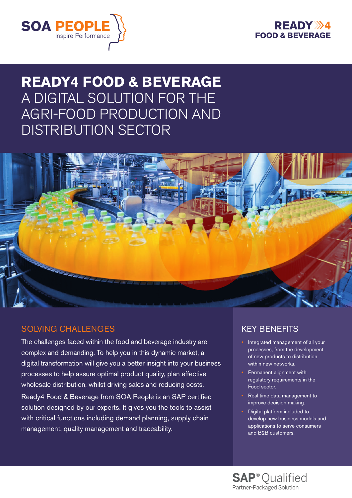



# **READY4 FOOD & BEVERAGE**  A DIGITAL SOLUTION FOR THE AGRI-FOOD PRODUCTION AND DISTRIBUTION SECTOR



### SOLVING CHALLENGES

The challenges faced within the food and beverage industry are complex and demanding. To help you in this dynamic market, a digital transformation will give you a better insight into your business processes to help assure optimal product quality, plan effective wholesale distribution, whilst driving sales and reducing costs.

Ready4 Food & Beverage from SOA People is an SAP certified solution designed by our experts. It gives you the tools to assist with critical functions including demand planning, supply chain management, quality management and traceability.

### KEY BENEFITS

- Integrated management of all your processes, from the development of new products to distribution within new networks.
- Permanent alignment with regulatory requirements in the Food sector.
- Real time data management to improve decision making.
- Digital platform included to develop new business models and applications to serve consumers and B2B customers.

**SAP**<sup>®</sup> Qualified Partner-Packaged Solution